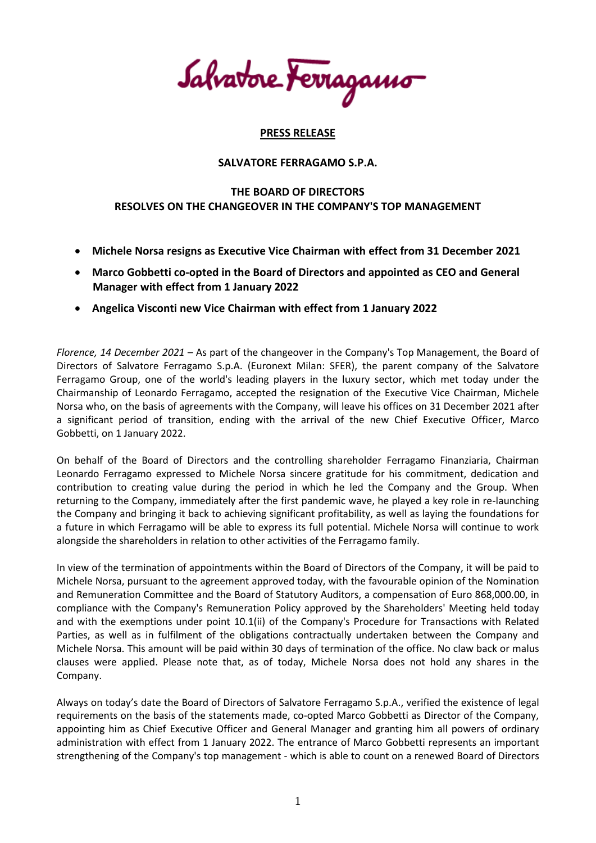Salvatore Ferragamo

## **PRESS RELEASE**

## **SALVATORE FERRAGAMO S.P.A.**

## **THE BOARD OF DIRECTORS RESOLVES ON THE CHANGEOVER IN THE COMPANY'S TOP MANAGEMENT**

- **Michele Norsa resigns as Executive Vice Chairman with effect from 31 December 2021**
- **Marco Gobbetti co-opted in the Board of Directors and appointed as CEO and General Manager with effect from 1 January 2022**
- **Angelica Visconti new Vice Chairman with effect from 1 January 2022**

*Florence, 14 December 2021 –* As part of the changeover in the Company's Top Management, the Board of Directors of Salvatore Ferragamo S.p.A. (Euronext Milan: SFER), the parent company of the Salvatore Ferragamo Group, one of the world's leading players in the luxury sector, which met today under the Chairmanship of Leonardo Ferragamo, accepted the resignation of the Executive Vice Chairman, Michele Norsa who, on the basis of agreements with the Company, will leave his offices on 31 December 2021 after a significant period of transition, ending with the arrival of the new Chief Executive Officer, Marco Gobbetti, on 1 January 2022.

On behalf of the Board of Directors and the controlling shareholder Ferragamo Finanziaria, Chairman Leonardo Ferragamo expressed to Michele Norsa sincere gratitude for his commitment, dedication and contribution to creating value during the period in which he led the Company and the Group. When returning to the Company, immediately after the first pandemic wave, he played a key role in re-launching the Company and bringing it back to achieving significant profitability, as well as laying the foundations for a future in which Ferragamo will be able to express its full potential. Michele Norsa will continue to work alongside the shareholders in relation to other activities of the Ferragamo family.

In view of the termination of appointments within the Board of Directors of the Company, it will be paid to Michele Norsa, pursuant to the agreement approved today, with the favourable opinion of the Nomination and Remuneration Committee and the Board of Statutory Auditors, a compensation of Euro 868,000.00, in compliance with the Company's Remuneration Policy approved by the Shareholders' Meeting held today and with the exemptions under point 10.1(ii) of the Company's Procedure for Transactions with Related Parties, as well as in fulfilment of the obligations contractually undertaken between the Company and Michele Norsa. This amount will be paid within 30 days of termination of the office. No claw back or malus clauses were applied. Please note that, as of today, Michele Norsa does not hold any shares in the Company.

Always on today's date the Board of Directors of Salvatore Ferragamo S.p.A., verified the existence of legal requirements on the basis of the statements made, co-opted Marco Gobbetti as Director of the Company, appointing him as Chief Executive Officer and General Manager and granting him all powers of ordinary administration with effect from 1 January 2022. The entrance of Marco Gobbetti represents an important strengthening of the Company's top management - which is able to count on a renewed Board of Directors